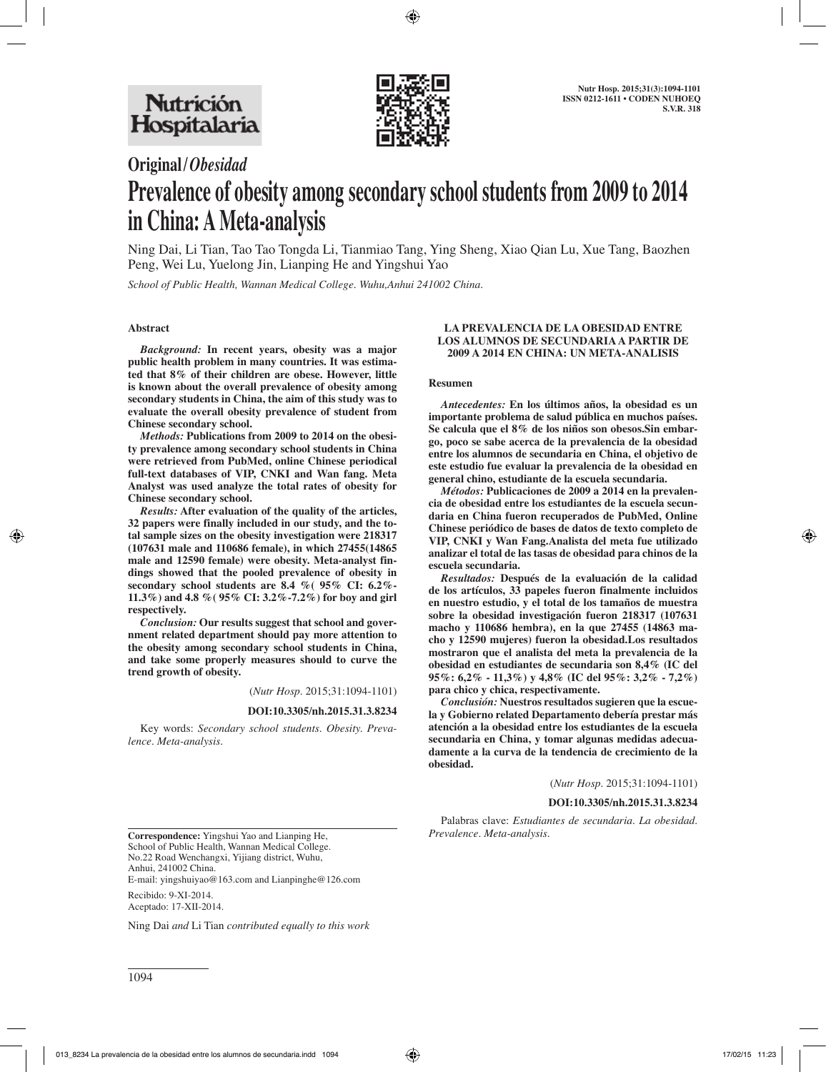

# **Original/***Obesidad*

# **Prevalence of obesity among secondary school students from 2009 to 2014 in China: A Meta-analysis**

Ning Dai, Li Tian, Tao Tao Tongda Li, Tianmiao Tang, Ying Sheng, Xiao Qian Lu, Xue Tang, Baozhen Peng, Wei Lu, Yuelong Jin, Lianping He and Yingshui Yao

*School of Public Health, Wannan Medical College. Wuhu,Anhui 241002 China.*

# **Abstract**

*Background:* **In recent years, obesity was a major public health problem in many countries. It was estimated that 8% of their children are obese. However, little is known about the overall prevalence of obesity among secondary students in China, the aim of this study was to evaluate the overall obesity prevalence of student from Chinese secondary school.**

*Methods:* **Publications from 2009 to 2014 on the obesity prevalence among secondary school students in China were retrieved from PubMed, online Chinese periodical full-text databases of VIP, CNKI and Wan fang. Meta Analyst was used analyze the total rates of obesity for Chinese secondary school.** 

*Results:* **After evaluation of the quality of the articles, 32 papers were finally included in our study, and the total sample sizes on the obesity investigation were 218317 (107631 male and 110686 female), in which 27455(14865 male and 12590 female) were obesity. Meta-analyst findings showed that the pooled prevalence of obesity in secondary school students are 8.4 %( 95% CI: 6.2%- 11.3%) and 4.8 %( 95% CI: 3.2%-7.2%) for boy and girl respectively.**

*Conclusion:* **Our results suggest that school and government related department should pay more attention to the obesity among secondary school students in China, and take some properly measures should to curve the trend growth of obesity.**

(*Nutr Hosp.* 2015;31:1094-1101)

#### **DOI:10.3305/nh.2015.31.3.8234**

Key words: *Secondary school students. Obesity. Prevalence. Meta-analysis.*

#### **LA PREVALENCIA DE LA OBESIDAD ENTRE LOS ALUMNOS DE SECUNDARIA A PARTIR DE 2009 A 2014 EN CHINA: UN META-ANALISIS**

#### **Resumen**

*Antecedentes:* **En los últimos años, la obesidad es un importante problema de salud pública en muchos países. Se calcula que el 8% de los niños son obesos.Sin embargo, poco se sabe acerca de la prevalencia de la obesidad entre los alumnos de secundaria en China, el objetivo de este estudio fue evaluar la prevalencia de la obesidad en general chino, estudiante de la escuela secundaria.**

*Métodos:* **Publicaciones de 2009 a 2014 en la prevalencia de obesidad entre los estudiantes de la escuela secundaria en China fueron recuperados de PubMed, Online Chinese periódico de bases de datos de texto completo de VIP, CNKI y Wan Fang.Analista del meta fue utilizado analizar el total de las tasas de obesidad para chinos de la escuela secundaria.**

*Resultados:* **Después de la evaluación de la calidad de los artículos, 33 papeles fueron finalmente incluidos en nuestro estudio, y el total de los tamaños de muestra sobre la obesidad investigación fueron 218317 (107631 macho y 110686 hembra), en la que 27455 (14863 macho y 12590 mujeres) fueron la obesidad.Los resultados mostraron que el analista del meta la prevalencia de la obesidad en estudiantes de secundaria son 8,4% (IC del 95%: 6,2% - 11,3%) y 4,8% (IC del 95%: 3,2% - 7,2%) para chico y chica, respectivamente.**

*Conclusión:* **Nuestros resultados sugieren que la escuela y Gobierno related Departamento debería prestar más atención a la obesidad entre los estudiantes de la escuela secundaria en China, y tomar algunas medidas adecuadamente a la curva de la tendencia de crecimiento de la obesidad.**

(*Nutr Hosp.* 2015;31:1094-1101)

#### **DOI:10.3305/nh.2015.31.3.8234**

Palabras clave: *Estudiantes de secundaria. La obesidad.* 

**Correspondence:** Yingshui Yao and Lianping He, School of Public Health, Wannan Medical College. No.22 Road Wenchangxi, Yijiang district, Wuhu, Anhui, 241002 China. E-mail: yingshuiyao@163.com and Lianpinghe@126.com

Recibido: 9-XI-2014. Aceptado: 17-XII-2014.

Ning Dai *and* Li Tian *contributed equally to this work*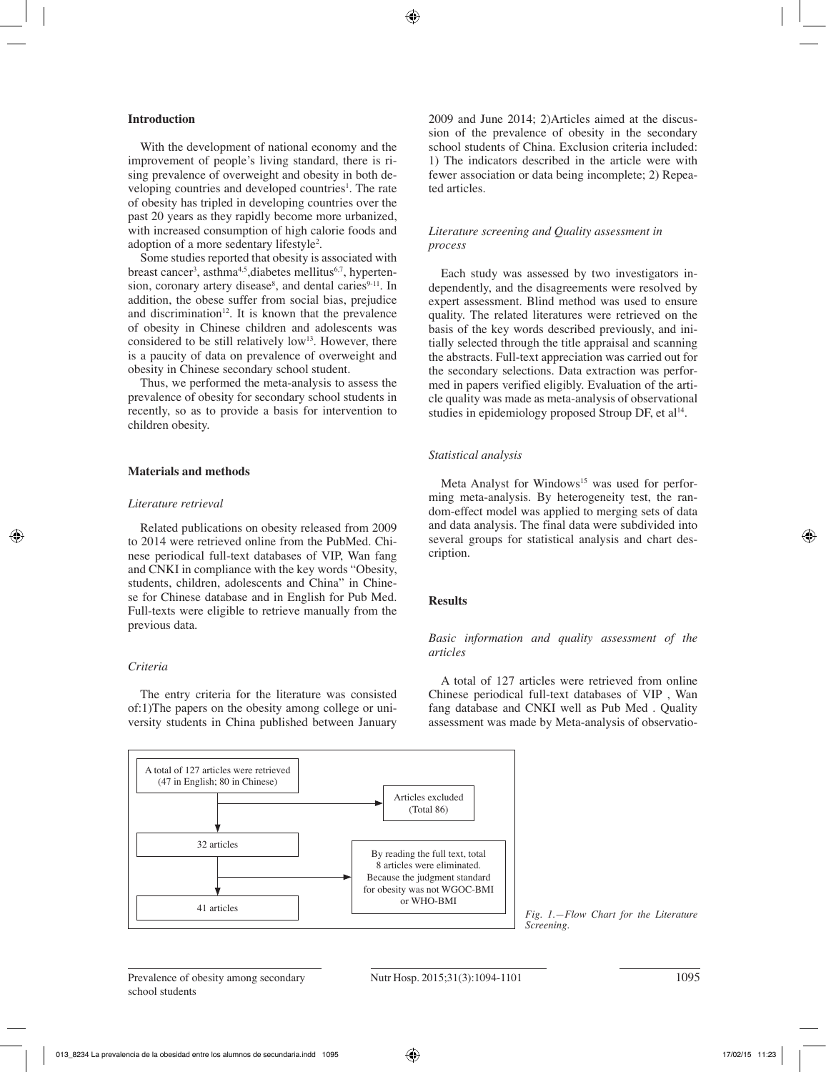### **Introduction**

With the development of national economy and the improvement of people's living standard, there is rising prevalence of overweight and obesity in both developing countries and developed countries<sup>1</sup>. The rate of obesity has tripled in developing countries over the past 20 years as they rapidly become more urbanized, with increased consumption of high calorie foods and adoption of a more sedentary lifestyle<sup>2</sup>.

Some studies reported that obesity is associated with breast cancer<sup>3</sup>, asthma<sup>4,5</sup>,diabetes mellitus<sup>6,7</sup>, hypertension, coronary artery disease<sup>8</sup>, and dental caries<sup>9-11</sup>. In addition, the obese suffer from social bias, prejudice and discrimination<sup>12</sup>. It is known that the prevalence of obesity in Chinese children and adolescents was considered to be still relatively low<sup>13</sup>. However, there is a paucity of data on prevalence of overweight and obesity in Chinese secondary school student.

Thus, we performed the meta-analysis to assess the prevalence of obesity for secondary school students in recently, so as to provide a basis for intervention to children obesity.

# **Materials and methods**

#### *Literature retrieval*

Related publications on obesity released from 2009 to 2014 were retrieved online from the PubMed. Chinese periodical full-text databases of VIP, Wan fang and CNKI in compliance with the key words "Obesity, students, children, adolescents and China" in Chinese for Chinese database and in English for Pub Med. Full-texts were eligible to retrieve manually from the previous data.

# *Criteria*

The entry criteria for the literature was consisted of:1)The papers on the obesity among college or university students in China published between January 2009 and June 2014; 2)Articles aimed at the discussion of the prevalence of obesity in the secondary school students of China. Exclusion criteria included: 1) The indicators described in the article were with fewer association or data being incomplete; 2) Repeated articles.

#### *Literature screening and Quality assessment in process*

Each study was assessed by two investigators independently, and the disagreements were resolved by expert assessment. Blind method was used to ensure quality. The related literatures were retrieved on the basis of the key words described previously, and initially selected through the title appraisal and scanning the abstracts. Full-text appreciation was carried out for the secondary selections. Data extraction was performed in papers verified eligibly. Evaluation of the article quality was made as meta-analysis of observational studies in epidemiology proposed Stroup DF, et al<sup>14</sup>.

#### *Statistical analysis*

Meta Analyst for Windows<sup>15</sup> was used for performing meta-analysis. By heterogeneity test, the random-effect model was applied to merging sets of data and data analysis. The final data were subdivided into several groups for statistical analysis and chart description.

#### **Results**

*Basic information and quality assessment of the articles* 

A total of 127 articles were retrieved from online Chinese periodical full-text databases of VIP , Wan fang database and CNKI well as Pub Med . Quality assessment was made by Meta-analysis of observatio-

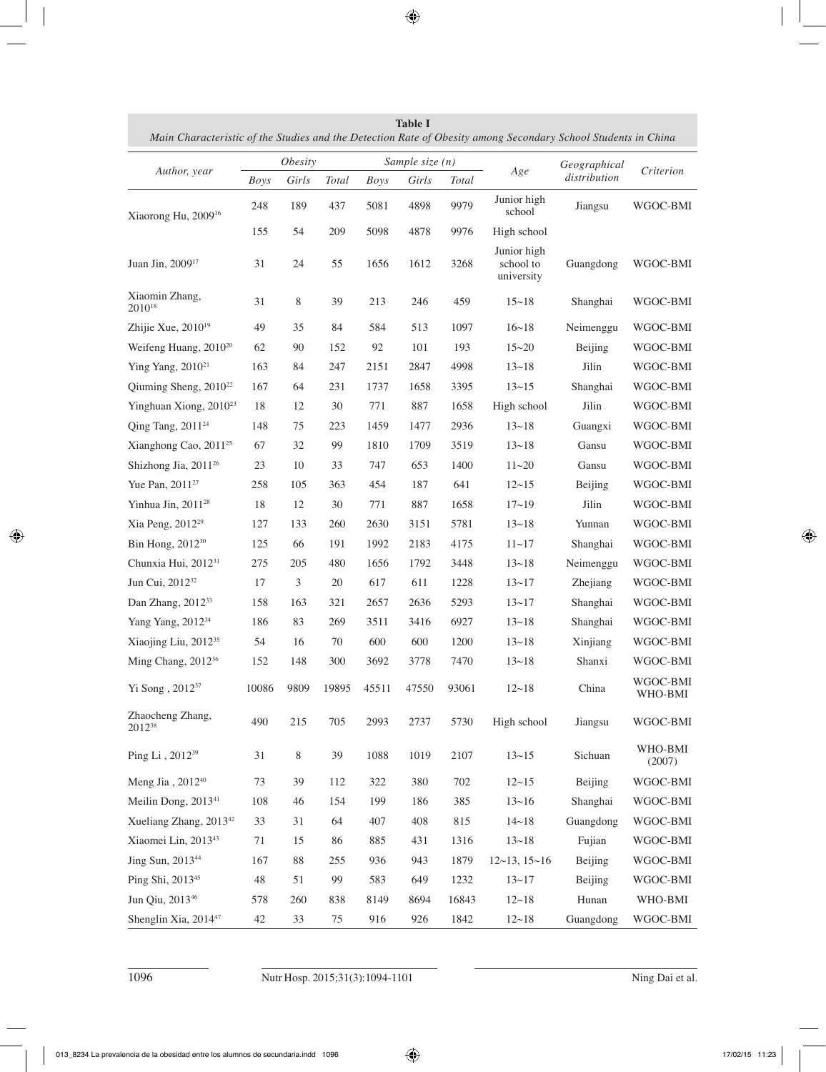| Author, year                           | <i>Obesity</i> |             |       | Sample size $(n)$ |       |       |                                        | Geographical |                     |
|----------------------------------------|----------------|-------------|-------|-------------------|-------|-------|----------------------------------------|--------------|---------------------|
|                                        | Boys           | Girls       | Total | <b>Boys</b>       | Girls | Total | Age                                    | distribution | Criterion           |
| Xiaorong Hu, 2009 <sup>16</sup>        | 248            | 189         | 437   | 5081              | 4898  | 9979  | Junior high<br>school                  | Jiangsu      | WGOC-BMI            |
|                                        | 155            | 54          | 209   | 5098              | 4878  | 9976  | High school                            |              |                     |
| Juan Jin, 2009 <sup>17</sup>           | 31             | 24          | 55    | 1656              | 1612  | 3268  | Junior high<br>school to<br>university | Guangdong    | WGOC-BMI            |
| Xiaomin Zhang,<br>$2010^{18}$          | 31             | 8           | 39    | 213               | 246   | 459   | $15 - 18$                              | Shanghai     | WGOC-BMI            |
| Zhijie Xue, $2010^{19}$                | 49             | 35          | 84    | 584               | 513   | 1097  | $16 - 18$                              | Neimenggu    | WGOC-BMI            |
| Weifeng Huang, 2010 <sup>20</sup>      | 62             | 90          | 152   | 92                | 101   | 193   | $15 - 20$                              | Beijing      | WGOC-BMI            |
| Ying Yang, 2010 <sup>21</sup>          | 163            | 84          | 247   | 2151              | 2847  | 4998  | $13 - 18$                              | Jilin        | WGOC-BMI            |
| Qiuming Sheng, 2010 <sup>22</sup>      | 167            | 64          | 231   | 1737              | 1658  | 3395  | $13 - 15$                              | Shanghai     | WGOC-BMI            |
| Yinghuan Xiong, 2010 <sup>23</sup>     | 18             | 12          | 30    | 771               | 887   | 1658  | High school                            | Jilin        | WGOC-BMI            |
| Qing Tang, 2011 <sup>24</sup>          | 148            | 75          | 223   | 1459              | 1477  | 2936  | $13 - 18$                              | Guangxi      | WGOC-BMI            |
| Xianghong Cao, 2011 <sup>25</sup>      | 67             | 32          | 99    | 1810              | 1709  | 3519  | $13 - 18$                              | Gansu        | WGOC-BMI            |
| Shizhong Jia, 2011 <sup>26</sup>       | 23             | 10          | 33    | 747               | 653   | 1400  | $11 - 20$                              | Gansu        | WGOC-BMI            |
| Yue Pan, 2011 <sup>27</sup>            | 258            | 105         | 363   | 454               | 187   | 641   | $12 - 15$                              | Beijing      | WGOC-BMI            |
| Yinhua Jin, 2011 <sup>28</sup>         | 18             | 12          | 30    | 771               | 887   | 1658  | $17 - 19$                              | Jilin        | WGOC-BMI            |
| Xia Peng, 2012 <sup>29</sup>           | 127            | 133         | 260   | 2630              | 3151  | 5781  | $13 - 18$                              | Yunnan       | WGOC-BMI            |
| Bin Hong, 2012 <sup>30</sup>           | 125            | 66          | 191   | 1992              | 2183  | 4175  | $11 - 17$                              | Shanghai     | WGOC-BMI            |
| Chunxia Hui, 2012 <sup>31</sup>        | 275            | 205         | 480   | 1656              | 1792  | 3448  | $13 - 18$                              | Neimenggu    | WGOC-BMI            |
| Jun Cui, 2012 <sup>32</sup>            | 17             | 3           | 20    | 617               | 611   | 1228  | $13 - 17$                              | Zhejiang     | WGOC-BMI            |
| Dan Zhang, 2012 <sup>33</sup>          | 158            | 163         | 321   | 2657              | 2636  | 5293  | $13 - 17$                              | Shanghai     | WGOC-BMI            |
| Yang Yang, 2012 <sup>34</sup>          | 186            | 83          | 269   | 3511              | 3416  | 6927  | $13 - 18$                              | Shanghai     | WGOC-BMI            |
| Xiaojing Liu, 2012 <sup>35</sup>       | 54             | 16          | 70    | 600               | 600   | 1200  | $13 - 18$                              | Xinjiang     | WGOC-BMI            |
| Ming Chang, 2012 <sup>36</sup>         | 152            | 148         | 300   | 3692              | 3778  | 7470  | $13 - 18$                              | Shanxi       | WGOC-BMI            |
| Yi Song, 2012 <sup>37</sup>            | 10086          | 9809        | 19895 | 45511             | 47550 | 93061 | $12 - 18$                              | China        | WGOC-BMI<br>WHO-BMI |
| Zhaocheng Zhang,<br>2012 <sup>38</sup> | 490            | 215         | 705   | 2993              | 2737  | 5730  | High school                            | Jiangsu      | WGOC-BMI            |
| Ping Li, 2012 <sup>39</sup>            | 31             | $\,$ 8 $\,$ | 39    | 1088              | 1019  | 2107  | $13 - 15$                              | Sichuan      | WHO-BMI<br>(2007)   |
| Meng Jia, 2012 <sup>40</sup>           | 73             | 39          | 112   | 322               | 380   | 702   | $12 - 15$                              | Beijing      | WGOC-BMI            |
| Meilin Dong, 2013 <sup>41</sup>        | 108            | 46          | 154   | 199               | 186   | 385   | $13 - 16$                              | Shanghai     | WGOC-BMI            |
| Xueliang Zhang, 2013 <sup>42</sup>     | 33             | 31          | 64    | 407               | 408   | 815   | $14 - 18$                              | Guangdong    | WGOC-BMI            |
| Xiaomei Lin, 201343                    | 71             | 15          | 86    | 885               | 431   | 1316  | $13 - 18$                              | Fujian       | WGOC-BMI            |
| Jing Sun, 2013 <sup>44</sup>           | 167            | 88          | 255   | 936               | 943   | 1879  | $12~13$ , $15~16$                      | Beijing      | WGOC-BMI            |
| Ping Shi, 2013 <sup>45</sup>           | 48             | 51          | 99    | 583               | 649   | 1232  | $13 - 17$                              | Beijing      | WGOC-BMI            |
| Jun Qiu, 2013 <sup>46</sup>            | 578            | 260         | 838   | 8149              | 8694  | 16843 | $12 - 18$                              | Hunan        | WHO-BMI             |
| Shenglin Xia, 2014 <sup>47</sup>       | 42             | 33          | 75    | 916               | 926   | 1842  | $12 - 18$                              | Guangdong    | WGOC-BMI            |

**Table I** *Main Characteristic of the Studies and the Detection Rate of Obesity among Secondary School Students in China*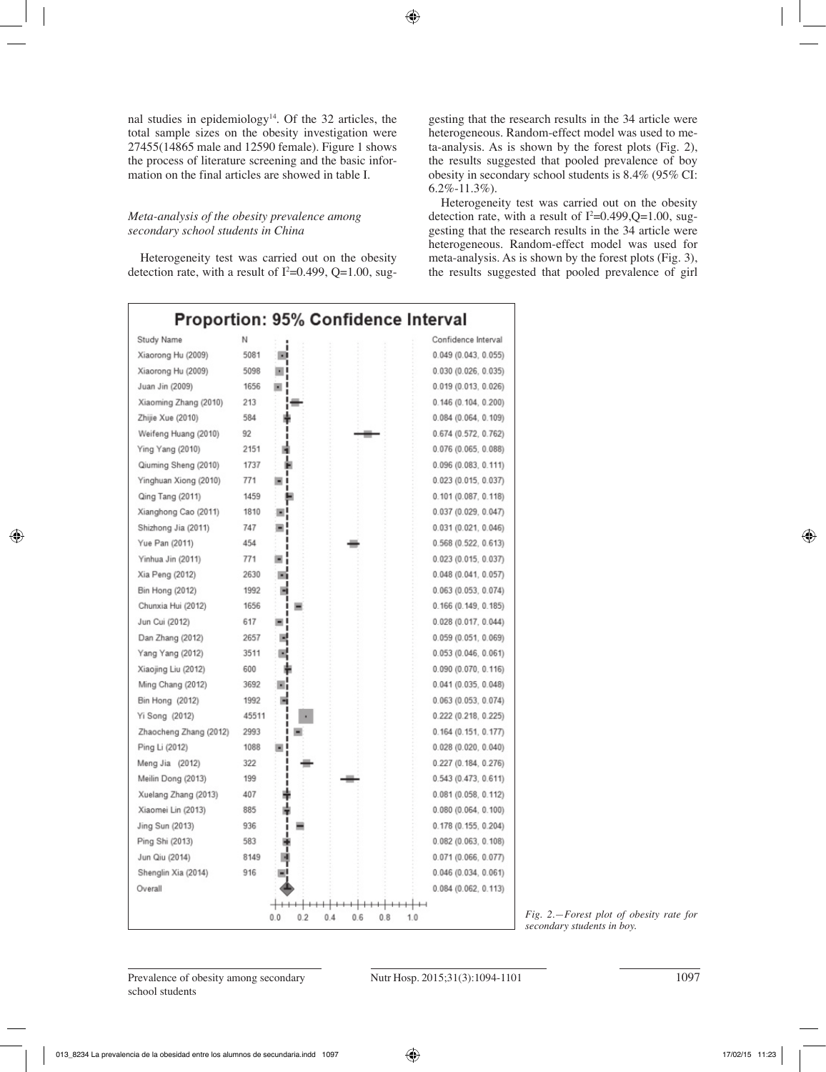nal studies in epidemiology<sup>14</sup>. Of the 32 articles, the total sample sizes on the obesity investigation were 27455(14865 male and 12590 female). Figure 1 shows the process of literature screening and the basic information on the final articles are showed in table I.

# *Meta-analysis of the obesity prevalence among secondary school students in China*

Heterogeneity test was carried out on the obesity detection rate, with a result of  $I^2=0.499$ ,  $Q=1.00$ , suggesting that the research results in the 34 article were heterogeneous. Random-effect model was used to meta-analysis. As is shown by the forest plots (Fig. 2), the results suggested that pooled prevalence of boy obesity in secondary school students is 8.4% (95% CI: 6.2%-11.3%).

Heterogeneity test was carried out on the obesity detection rate, with a result of  $I^2=0.499,Q=1.00$ , suggesting that the research results in the 34 article were heterogeneous. Random-effect model was used for meta-analysis. As is shown by the forest plots (Fig. 3), the results suggested that pooled prevalence of girl

|                        |       |            | <b>Proportion: 95% Confidence Interval</b> |                     |
|------------------------|-------|------------|--------------------------------------------|---------------------|
| Study Name             | Ν     |            |                                            | Confidence Interval |
| Xiaorong Hu (2009)     | 5081  |            |                                            | 0.049(0.043, 0.055) |
| Xiaorong Hu (2009)     | 5098  |            |                                            | 0.030(0.026, 0.035) |
| Juan Jin (2009)        | 1656  |            |                                            | 0.019(0.013, 0.026) |
| Xiaoming Zhang (2010)  | 213   |            |                                            | 0.146(0.104, 0.200) |
| Zhijie Xue (2010)      | 584   |            |                                            | 0.084(0.064, 0.109) |
| Weifeng Huang (2010)   | 92    |            |                                            | 0.674(0.572, 0.762) |
| Ying Yang (2010)       | 2151  |            |                                            | 0.076(0.065, 0.088) |
| Qiuming Sheng (2010)   | 1737  |            |                                            | 0.096(0.083, 0.111) |
| Yinghuan Xiong (2010)  | 771   |            |                                            | 0.023(0.015, 0.037) |
| Qing Tang (2011)       | 1459  |            |                                            | 0.101(0.087, 0.118) |
| Xianghong Cao (2011)   | 1810  |            |                                            | 0.037(0.029, 0.047) |
| Shizhong Jia (2011)    | 747   |            |                                            | 0.031(0.021, 0.046) |
| Yue Pan (2011)         | 454   |            |                                            | 0.568(0.522, 0.613) |
| Yinhua Jin (2011)      | 771   |            |                                            | 0.023(0.015, 0.037) |
| Xia Peng (2012)        | 2630  |            |                                            | 0.048(0.041, 0.057) |
| <b>Bin Hong (2012)</b> | 1992  |            |                                            | 0.063(0.053, 0.074) |
| Chunxia Hui (2012)     | 1656  |            |                                            | 0.166(0.149, 0.185) |
| Jun Cui (2012)         | 617   |            |                                            | 0.028(0.017, 0.044) |
| Dan Zhang (2012)       | 2657  |            |                                            | 0.059(0.051, 0.069) |
| Yang Yang (2012)       | 3511  |            |                                            | 0.053(0.046, 0.061) |
| Xiaojing Liu (2012)    | 600   |            |                                            | 0.090(0.070, 0.116) |
| Ming Chang (2012)      | 3692  |            |                                            | 0.041(0.035, 0.048) |
| Bin Hong (2012)        | 1992  |            |                                            | 0.063(0.053, 0.074) |
| Yi Song (2012)         | 45511 |            |                                            | 0.222(0.218, 0.225) |
| Zhaocheng Zhang (2012) | 2993  |            |                                            | 0.164(0.151, 0.177) |
| Ping Li (2012)         | 1088  |            |                                            | 0.028(0.020, 0.040) |
| Meng Jia (2012)        | 322   |            |                                            | 0.227(0.184, 0.276) |
| Meilin Dong (2013)     | 199   |            |                                            | 0.543(0.473, 0.611) |
| Xuelang Zhang (2013)   | 407   |            |                                            | 0.081(0.058, 0.112) |
| Xiaomei Lin (2013)     | 885   |            |                                            | 0.080(0.064, 0.100) |
| Jing Sun (2013)        | 936   |            |                                            | 0.178(0.155, 0.204) |
| Ping Shi (2013)        | 583   |            |                                            | 0.082(0.063, 0.108) |
| Jun Qiu (2014)         | 8149  |            |                                            | 0.071(0.066, 0.077) |
| Shenglin Xia (2014)    | 916   |            |                                            | 0.046(0.034, 0.061) |
| Overall                |       |            |                                            | 0.084(0.062, 0.113) |
|                        |       |            |                                            |                     |
|                        |       | 0.0<br>0.2 | 0.4<br>0.6<br>0.8                          | 1.0                 |

*Fig. 2.—Forest plot of obesity rate for secondary students in boy.*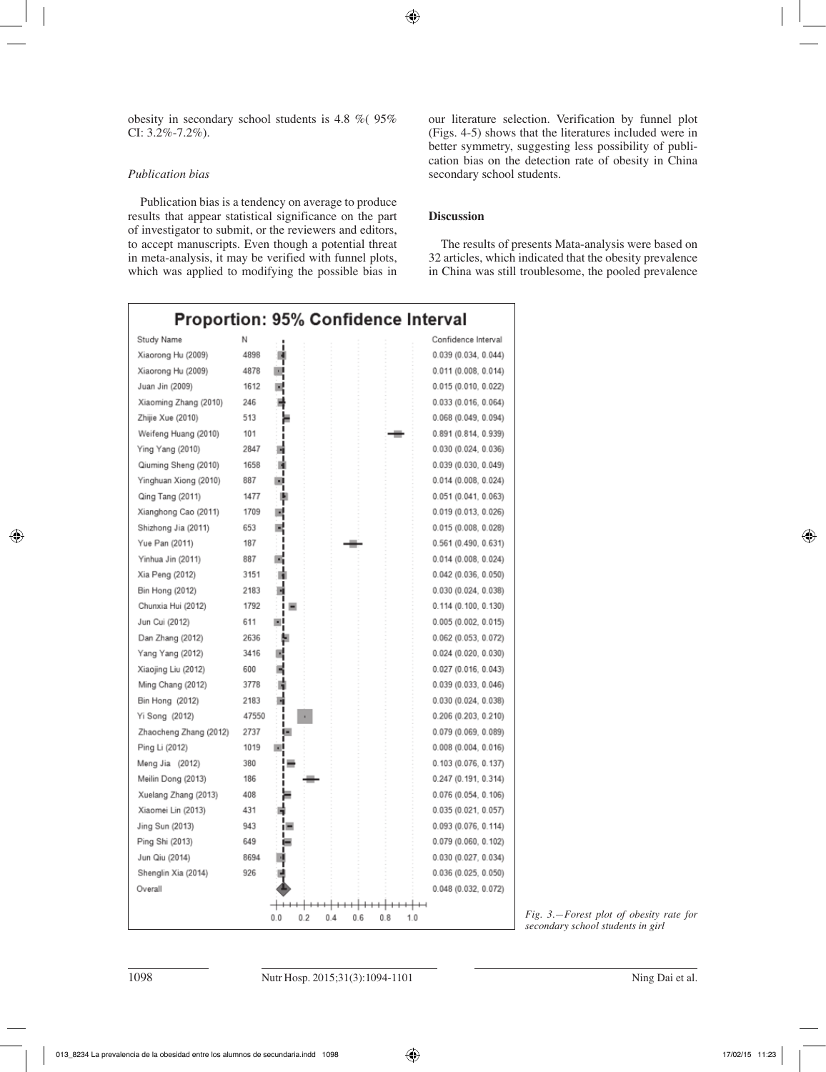obesity in secondary school students is 4.8 %( 95% CI: 3.2%-7.2%).

# *Publication bias*

Publication bias is a tendency on average to produce results that appear statistical significance on the part of investigator to submit, or the reviewers and editors, to accept manuscripts. Even though a potential threat in meta-analysis, it may be verified with funnel plots, which was applied to modifying the possible bias in our literature selection. Verification by funnel plot (Figs. 4-5) shows that the literatures included were in better symmetry, suggesting less possibility of publication bias on the detection rate of obesity in China secondary school students.

# **Discussion**

The results of presents Mata-analysis were based on 32 articles, which indicated that the obesity prevalence in China was still troublesome, the pooled prevalence

|                        |       |            | <b>Proportion: 95% Confidence Interval</b> |            |                        |
|------------------------|-------|------------|--------------------------------------------|------------|------------------------|
| Study Name             | Ν     |            |                                            |            | Confidence Interval    |
| Xiaorong Hu (2009)     | 4898  |            |                                            |            | 0.039(0.034, 0.044)    |
| Xiaorong Hu (2009)     | 4878  |            |                                            |            | 0.011(0.008, 0.014)    |
| Juan Jin (2009)        | 1612  |            |                                            |            | 0.015(0.010, 0.022)    |
| Xiaoming Zhang (2010)  | 246   |            |                                            |            | 0.033(0.016, 0.064)    |
| Zhijie Xue (2010)      | 513   |            |                                            |            | 0.068(0.049, 0.094)    |
| Weifeng Huang (2010)   | 101   |            |                                            |            | 0.891(0.814, 0.939)    |
| Ying Yang (2010)       | 2847  |            |                                            |            | 0.030(0.024, 0.036)    |
| Qiuming Sheng (2010)   | 1658  |            |                                            |            | 0.039(0.030, 0.049)    |
| Yinghuan Xiong (2010)  | 887   |            |                                            |            | 0.014(0.008, 0.024)    |
| Qing Tang (2011)       | 1477  |            |                                            |            | 0.051(0.041, 0.063)    |
| Xianghong Cao (2011)   | 1709  |            |                                            |            | 0.019(0.013, 0.026)    |
| Shizhong Jia (2011)    | 653   |            |                                            |            | 0.015(0.008, 0.028)    |
| Yue Pan (2011)         | 187   |            |                                            |            | 0.561(0.490, 0.631)    |
| Yinhua Jin (2011)      | 887   |            |                                            |            | 0.014(0.008, 0.024)    |
| Xia Peng (2012)        | 3151  |            |                                            |            | 0.042(0.036, 0.050)    |
| Bin Hong (2012)        | 2183  |            |                                            |            | 0.030(0.024, 0.038)    |
| Chunxia Hui (2012)     | 1792  |            |                                            |            | 0.114(0.100, 0.130)    |
| Jun Cui (2012)         | 611   | ٠I         |                                            |            | 0.005(0.002, 0.015)    |
| Dan Zhang (2012)       | 2636  |            |                                            |            | $0.062$ (0.053, 0.072) |
| Yang Yang (2012)       | 3416  |            |                                            |            | 0.024(0.020, 0.030)    |
| Xiaojing Liu (2012)    | 600   |            |                                            |            | 0.027(0.016, 0.043)    |
| Ming Chang (2012)      | 3778  |            |                                            |            | 0.039(0.033, 0.046)    |
| Bin Hong (2012)        | 2183  |            |                                            |            | 0.030(0.024, 0.038)    |
| Yi Song (2012)         | 47550 |            |                                            |            | 0.206(0.203, 0.210)    |
| Zhaocheng Zhang (2012) | 2737  |            |                                            |            | 0.079 (0.069, 0.089)   |
| Ping Li (2012)         | 1019  | ×          |                                            |            | 0.008(0.004, 0.016)    |
| Meng Jia (2012)        | 380   |            |                                            |            | 0.103(0.076, 0.137)    |
| Meilin Dong (2013)     | 186   |            |                                            |            | 0.247(0.191, 0.314)    |
| Xuelang Zhang (2013)   | 408   |            |                                            |            | 0.076(0.054, 0.106)    |
| Xiaomei Lin (2013)     | 431   |            |                                            |            | 0.035(0.021, 0.057)    |
| Jing Sun (2013)        | 943   |            |                                            |            | 0.093(0.076, 0.114)    |
| Ping Shi (2013)        | 649   |            |                                            |            | 0.079(0.060, 0.102)    |
| Jun Qiu (2014)         | 8694  |            |                                            |            | 0.030(0.027, 0.034)    |
| Shenglin Xia (2014)    | 926   |            |                                            |            | 0.036(0.025, 0.050)    |
| Overall                |       |            |                                            |            | 0.048(0.032, 0.072)    |
|                        |       |            |                                            |            |                        |
|                        |       | 0.0<br>0.2 | 0.4<br>0.6                                 | 0.8<br>1.0 |                        |

*Fig. 3.—Forest plot of obesity rate for secondary school students in girl*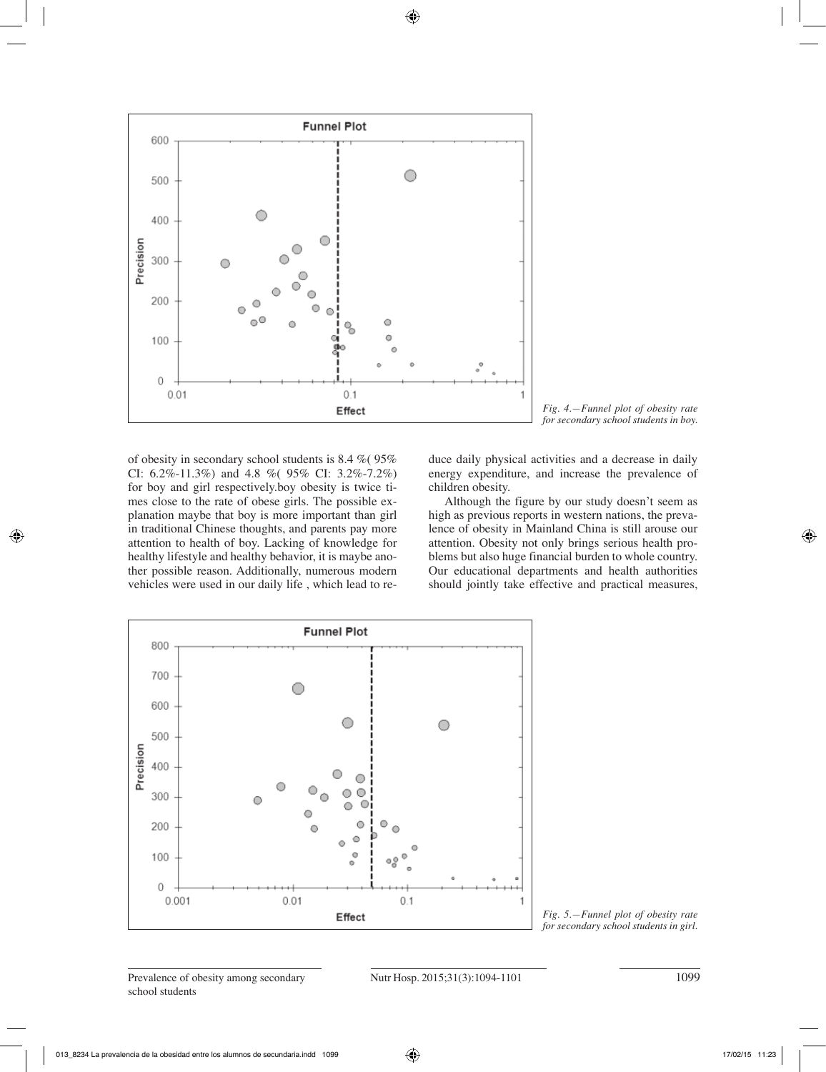



of obesity in secondary school students is 8.4 %( 95% CI: 6.2%-11.3%) and 4.8 %( 95% CI: 3.2%-7.2%) for boy and girl respectively.boy obesity is twice times close to the rate of obese girls. The possible explanation maybe that boy is more important than girl in traditional Chinese thoughts, and parents pay more attention to health of boy. Lacking of knowledge for healthy lifestyle and healthy behavior, it is maybe another possible reason. Additionally, numerous modern vehicles were used in our daily life , which lead to reduce daily physical activities and a decrease in daily energy expenditure, and increase the prevalence of children obesity.

 Although the figure by our study doesn't seem as high as previous reports in western nations, the prevalence of obesity in Mainland China is still arouse our attention. Obesity not only brings serious health problems but also huge financial burden to whole country. Our educational departments and health authorities should jointly take effective and practical measures,



*Fig. 5.—Funnel plot of obesity rate for secondary school students in girl.*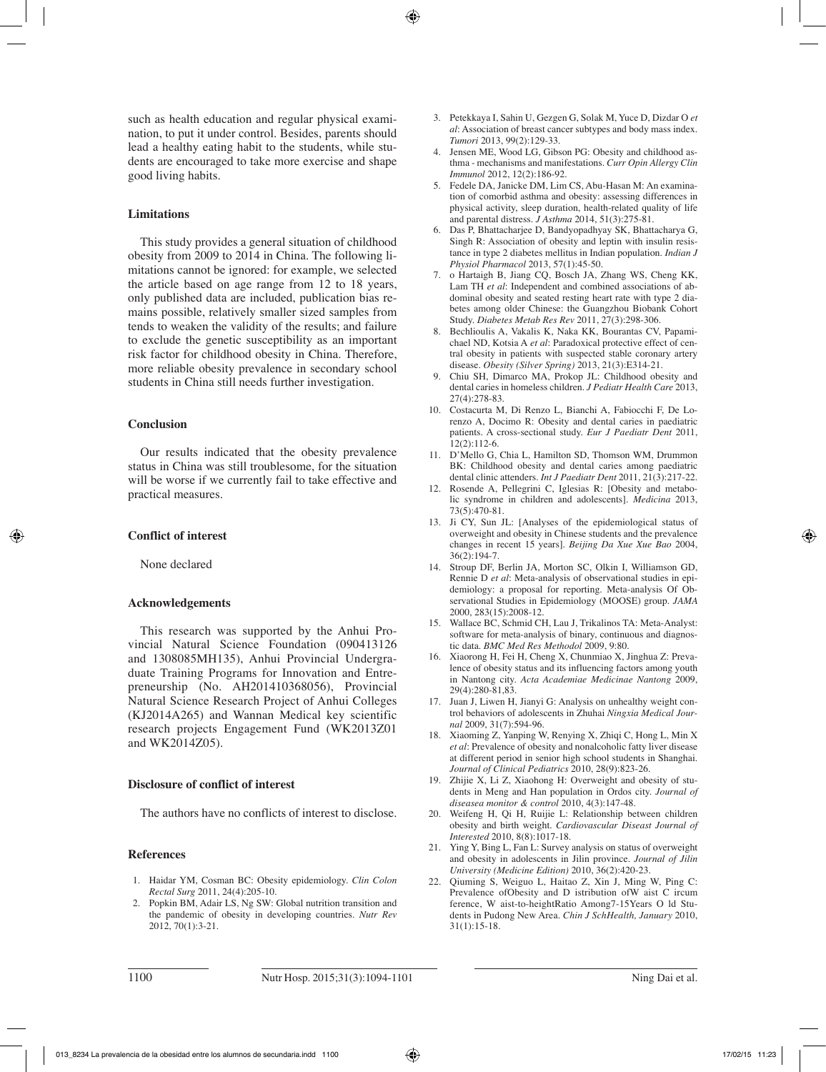such as health education and regular physical examination, to put it under control. Besides, parents should lead a healthy eating habit to the students, while students are encouraged to take more exercise and shape good living habits.

#### **Limitations**

This study provides a general situation of childhood obesity from 2009 to 2014 in China. The following limitations cannot be ignored: for example, we selected the article based on age range from 12 to 18 years, only published data are included, publication bias remains possible, relatively smaller sized samples from tends to weaken the validity of the results; and failure to exclude the genetic susceptibility as an important risk factor for childhood obesity in China. Therefore, more reliable obesity prevalence in secondary school students in China still needs further investigation.

#### **Conclusion**

Our results indicated that the obesity prevalence status in China was still troublesome, for the situation will be worse if we currently fail to take effective and practical measures.

### **Conflict of interest**

None declared

#### **Acknowledgements**

This research was supported by the Anhui Provincial Natural Science Foundation (090413126 and 1308085MH135), Anhui Provincial Undergraduate Training Programs for Innovation and Entrepreneurship (No. AH201410368056), Provincial Natural Science Research Project of Anhui Colleges (KJ2014A265) and Wannan Medical key scientific research projects Engagement Fund (WK2013Z01 and WK2014Z05).

# **Disclosure of conflict of interest**

The authors have no conflicts of interest to disclose.

#### **References**

- 1. Haidar YM, Cosman BC: Obesity epidemiology. *Clin Colon Rectal Surg* 2011, 24(4):205-10.
- 2. Popkin BM, Adair LS, Ng SW: Global nutrition transition and the pandemic of obesity in developing countries. *Nutr Rev*  2012, 70(1):3-21.
- 3. Petekkaya I, Sahin U, Gezgen G, Solak M, Yuce D, Dizdar O *et al*: Association of breast cancer subtypes and body mass index. *Tumori* 2013, 99(2):129-33.
- 4. Jensen ME, Wood LG, Gibson PG: Obesity and childhood asthma - mechanisms and manifestations. *Curr Opin Allergy Clin Immunol* 2012, 12(2):186-92.
- 5. Fedele DA, Janicke DM, Lim CS, Abu-Hasan M: An examination of comorbid asthma and obesity: assessing differences in physical activity, sleep duration, health-related quality of life and parental distress. *J Asthma* 2014, 51(3):275-81.
- 6. Das P, Bhattacharjee D, Bandyopadhyay SK, Bhattacharya G, Singh R: Association of obesity and leptin with insulin resistance in type 2 diabetes mellitus in Indian population. *Indian J Physiol Pharmacol* 2013, 57(1):45-50.
- 7. o Hartaigh B, Jiang CQ, Bosch JA, Zhang WS, Cheng KK, Lam TH *et al*: Independent and combined associations of abdominal obesity and seated resting heart rate with type 2 diabetes among older Chinese: the Guangzhou Biobank Cohort Study. *Diabetes Metab Res Rev* 2011, 27(3):298-306.
- 8. Bechlioulis A, Vakalis K, Naka KK, Bourantas CV, Papamichael ND, Kotsia A *et al*: Paradoxical protective effect of central obesity in patients with suspected stable coronary artery disease. *Obesity (Silver Spring)* 2013, 21(3):E314-21.
- 9. Chiu SH, Dimarco MA, Prokop JL: Childhood obesity and dental caries in homeless children. *J Pediatr Health Care* 2013, 27(4):278-83.
- 10. Costacurta M, Di Renzo L, Bianchi A, Fabiocchi F, De Lorenzo A, Docimo R: Obesity and dental caries in paediatric patients. A cross-sectional study. *Eur J Paediatr Dent* 2011, 12(2):112-6.
- 11. D'Mello G, Chia L, Hamilton SD, Thomson WM, Drummon BK: Childhood obesity and dental caries among paediatric dental clinic attenders. *Int J Paediatr Dent* 2011, 21(3):217-22.
- 12. Rosende A, Pellegrini C, Iglesias R: [Obesity and metabolic syndrome in children and adolescents]. *Medicina* 2013, 73(5):470-81.
- 13. Ji CY, Sun JL: [Analyses of the epidemiological status of overweight and obesity in Chinese students and the prevalence changes in recent 15 years]. *Beijing Da Xue Xue Bao* 2004, 36(2):194-7.
- 14. Stroup DF, Berlin JA, Morton SC, Olkin I, Williamson GD, Rennie D *et al*: Meta-analysis of observational studies in epidemiology: a proposal for reporting. Meta-analysis Of Observational Studies in Epidemiology (MOOSE) group. *JAMA*  2000, 283(15):2008-12.
- 15. Wallace BC, Schmid CH, Lau J, Trikalinos TA: Meta-Analyst: software for meta-analysis of binary, continuous and diagnostic data. *BMC Med Res Methodol* 2009, 9:80.
- 16. Xiaorong H, Fei H, Cheng X, Chunmiao X, Jinghua Z: Prevalence of obesity status and its influencing factors among youth in Nantong city. *Acta Academiae Medicinae Nantong* 2009, 29(4):280-81,83.
- 17. Juan J, Liwen H, Jianyi G: Analysis on unhealthy weight control behaviors of adolescents in Zhuhai *Ningxia Medical Journal* 2009, 31(7):594-96.
- 18. Xiaoming Z, Yanping W, Renying X, Zhiqi C, Hong L, Min X *et al*: Prevalence of obesity and nonalcoholic fatty liver disease at different period in senior high school students in Shanghai. *Journal of Clinical Pediatrics* 2010, 28(9):823-26.
- 19. Zhijie X, Li Z, Xiaohong H: Overweight and obesity of students in Meng and Han population in Ordos city. *Journal of diseasea monitor & control* 2010, 4(3):147-48.
- 20. Weifeng H, Qi H, Ruijie L: Relationship between children obesity and birth weight. *Cardiovascular Diseast Journal of Interested* 2010, 8(8):1017-18.
- 21. Ying Y, Bing L, Fan L: Survey analysis on status of overweight and obesity in adolescents in Jilin province. *Journal of Jilin University (Medicine Edition)* 2010, 36(2):420-23.
- 22. Qiuming S, Weiguo L, Haitao Z, Xin J, Ming W, Ping C: Prevalence ofObesity and D istribution ofW aist C ircum ference, W aist-to-heightRatio Among7-15Years O ld Students in Pudong New Area. *Chin J SchHealth, January* 2010, 31(1):15-18.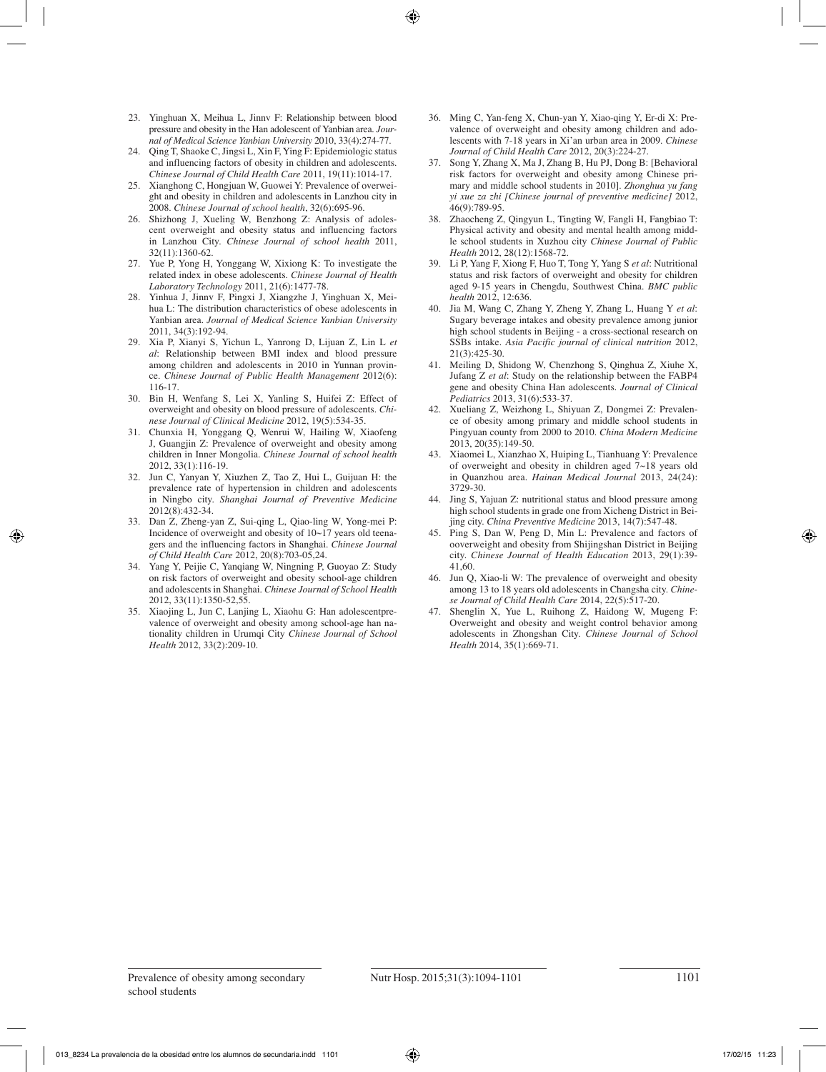- 23. Yinghuan X, Meihua L, Jinnv F: Relationship between blood pressure and obesity in the Han adolescent of Yanbian area. *Journal of Medical Science Yanbian University* 2010, 33(4):274-77.
- 24. Qing T, Shaoke C, Jingsi L, Xin F, Ying F: Epidemiologic status and influencing factors of obesity in children and adolescents. *Chinese Journal of Child Health Care* 2011, 19(11):1014-17.
- 25. Xianghong C, Hongjuan W, Guowei Y: Prevalence of overweight and obesity in children and adolescents in Lanzhou city in 2008. *Chinese Journal of school health*, 32(6):695-96.
- 26. Shizhong J, Xueling W, Benzhong Z: Analysis of adolescent overweight and obesity status and influencing factors in Lanzhou City. *Chinese Journal of school health* 2011, 32(11):1360-62.
- 27. Yue P, Yong H, Yonggang W, Xixiong K: To investigate the related index in obese adolescents. *Chinese Journal of Health Laboratory Technology* 2011, 21(6):1477-78.
- 28. Yinhua J, Jinnv F, Pingxi J, Xiangzhe J, Yinghuan X, Meihua L: The distribution characteristics of obese adolescents in Yanbian area. *Journal of Medical Science Yanbian University*  2011, 34(3):192-94.
- 29. Xia P, Xianyi S, Yichun L, Yanrong D, Lijuan Z, Lin L *et al*: Relationship between BMI index and blood pressure among children and adolescents in 2010 in Yunnan province. *Chinese Journal of Public Health Management* 2012(6): 116-17.
- 30. Bin H, Wenfang S, Lei X, Yanling S, Huifei Z: Effect of overweight and obesity on blood pressure of adolescents. *Chinese Journal of Clinical Medicine* 2012, 19(5):534-35.
- 31. Chunxia H, Yonggang Q, Wenrui W, Hailing W, Xiaofeng J, Guangjin Z: Prevalence of overweight and obesity among children in Inner Mongolia. *Chinese Journal of school health*  2012, 33(1):116-19.
- 32. Jun C, Yanyan Y, Xiuzhen Z, Tao Z, Hui L, Guijuan H: the prevalence rate of hypertension in children and adolescents in Ningbo city. *Shanghai Journal of Preventive Medicine*  2012(8):432-34.
- 33. Dan Z, Zheng-yan Z, Sui-qing L, Qiao-ling W, Yong-mei P: Incidence of overweight and obesity of 10~17 years old teenagers and the influencing factors in Shanghai. *Chinese Journal of Child Health Care* 2012, 20(8):703-05,24.
- 34. Yang Y, Peijie C, Yanqiang W, Ningning P, Guoyao Z: Study on risk factors of overweight and obesity school-age children and adolescents in Shanghai. *Chinese Journal of School Health*  2012, 33(11):1350-52,55.
- 35. Xiaojing L, Jun C, Lanjing L, Xiaohu G: Han adolescentprevalence of overweight and obesity among school-age han nationality children in Urumqi City *Chinese Journal of School Health* 2012, 33(2):209-10.
- 36. Ming C, Yan-feng X, Chun-yan Y, Xiao-qing Y, Er-di X: Prevalence of overweight and obesity among children and adolescents with 7-18 years in Xi'an urban area in 2009. *Chinese Journal of Child Health Care* 2012, 20(3):224-27.
- 37. Song Y, Zhang X, Ma J, Zhang B, Hu PJ, Dong B: [Behavioral risk factors for overweight and obesity among Chinese primary and middle school students in 2010]. *Zhonghua yu fang yi xue za zhi [Chinese journal of preventive medicine]* 2012, 46(9):789-95.
- Zhaocheng Z, Qingyun L, Tingting W, Fangli H, Fangbiao T: Physical activity and obesity and mental health among middle school students in Xuzhou city *Chinese Journal of Public Health* 2012, 28(12):1568-72.
- 39. Li P, Yang F, Xiong F, Huo T, Tong Y, Yang S *et al*: Nutritional status and risk factors of overweight and obesity for children aged 9-15 years in Chengdu, Southwest China. *BMC public health* 2012, 12:636.
- 40. Jia M, Wang C, Zhang Y, Zheng Y, Zhang L, Huang Y *et al*: Sugary beverage intakes and obesity prevalence among junior high school students in Beijing - a cross-sectional research on SSBs intake. *Asia Pacific journal of clinical nutrition* 2012, 21(3):425-30.
- 41. Meiling D, Shidong W, Chenzhong S, Qinghua Z, Xiuhe X, Jufang Z *et al*: Study on the relationship between the FABP4 gene and obesity China Han adolescents. *Journal of Clinical Pediatrics* 2013, 31(6):533-37.
- 42. Xueliang Z, Weizhong L, Shiyuan Z, Dongmei Z: Prevalence of obesity among primary and middle school students in Pingyuan county from 2000 to 2010. *China Modern Medicine*  2013, 20(35):149-50.
- 43. Xiaomei L, Xianzhao X, Huiping L, Tianhuang Y: Prevalence of overweight and obesity in children aged 7~18 years old in Quanzhou area. *Hainan Medical Journal* 2013, 24(24): 3729-30.
- 44. Jing S, Yajuan Z: nutritional status and blood pressure among high school students in grade one from Xicheng District in Beijing city. *China Preventive Medicine* 2013, 14(7):547-48.
- 45. Ping S, Dan W, Peng D, Min L: Prevalence and factors of ooverweight and obesity from Shijingshan District in Beijing city. *Chinese Journal of Health Education* 2013, 29(1):39- 41,60.
- 46. Jun Q, Xiao-li W: The prevalence of overweight and obesity among 13 to 18 years old adolescents in Changsha city. *Chinese Journal of Child Health Care* 2014, 22(5):517-20.
- 47. Shenglin X, Yue L, Ruihong Z, Haidong W, Mugeng F: Overweight and obesity and weight control behavior among adolescents in Zhongshan City. *Chinese Journal of School Health* 2014, 35(1):669-71.